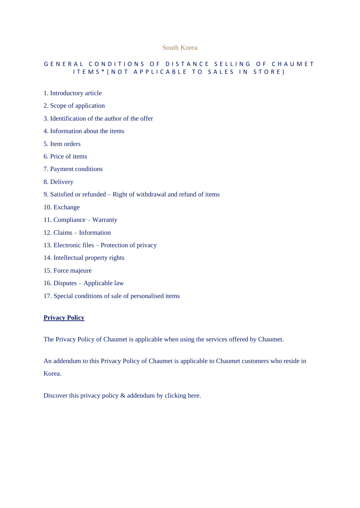#### South Korea

#### GENERAL CONDITIONS OF DISTANCE SELLING OF CHAUMET ITEMS\* (NOT APPLICABLE TO SALES IN STORE)

- 1. Introductory article
- 2. Scope of application
- 3. Identification of the author of the offer
- 4. Information about the items
- 5. Item orders
- 6. Price of items
- 7. Payment conditions
- 8. Delivery
- 9. Satisfied or refunded Right of withdrawal and refund of items
- 10. Exchange
- 11. Compliance Warranty
- 12. Claims Information
- 13. Electronic files Protection of privacy
- 14. Intellectual property rights
- 15. Force majeure
- 16. Disputes Applicable law
- 17. Special conditions of sale of personalised items

#### **Privacy Policy**

The Privacy Policy of Chaumet is applicable when using the services offered by Chaumet.

An addendum to this Privacy Policy of Chaumet is applicable to Chaumet customers who reside in Korea.

[Discover this privacy policy & addendum by clicking here.](https://www.chaumet.com/kr/personal-data)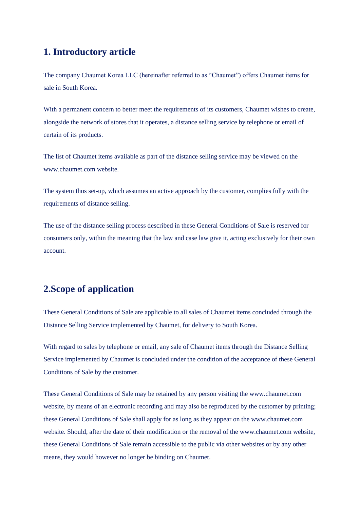## **1. Introductory article**

The company Chaumet Korea LLC (hereinafter referred to as "Chaumet") offers Chaumet items for sale in South Korea.

With a permanent concern to better meet the requirements of its customers, Chaumet wishes to create, alongside the network of stores that it operates, a distance selling service by telephone or email of certain of its products.

The list of Chaumet items available as part of the distance selling service may be viewed on the www.chaumet.com website.

The system thus set-up, which assumes an active approach by the customer, complies fully with the requirements of distance selling.

The use of the distance selling process described in these General Conditions of Sale is reserved for consumers only, within the meaning that the law and case law give it, acting exclusively for their own account.

# **2.Scope of application**

These General Conditions of Sale are applicable to all sales of Chaumet items concluded through the Distance Selling Service implemented by Chaumet, for delivery to South Korea.

With regard to sales by telephone or email, any sale of Chaumet items through the Distance Selling Service implemented by Chaumet is concluded under the condition of the acceptance of these General Conditions of Sale by the customer.

These General Conditions of Sale may be retained by any person visiting the www.chaumet.com website, by means of an electronic recording and may also be reproduced by the customer by printing; these General Conditions of Sale shall apply for as long as they appear on the www.chaumet.com website. Should, after the date of their modification or the removal of the www.chaumet.com website, these General Conditions of Sale remain accessible to the public via other websites or by any other means, they would however no longer be binding on Chaumet.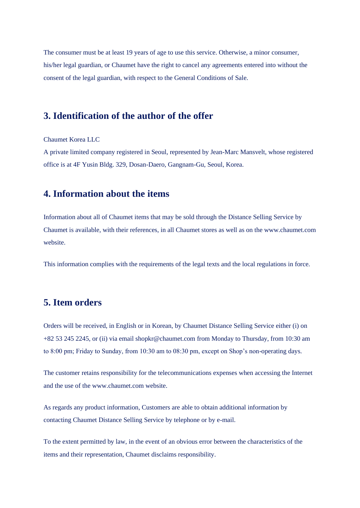The consumer must be at least 19 years of age to use this service. Otherwise, a minor consumer, his/her legal guardian, or Chaumet have the right to cancel any agreements entered into without the consent of the legal guardian, with respect to the General Conditions of Sale.

#### **3. Identification of the author of the offer**

Chaumet Korea LLC

A private limited company registered in Seoul, represented by Jean-Marc Mansvelt, whose registered office is at 4F Yusin Bldg. 329, Dosan-Daero, Gangnam-Gu, Seoul, Korea.

#### **4. Information about the items**

Information about all of Chaumet items that may be sold through the Distance Selling Service by Chaumet is available, with their references, in all Chaumet stores as well as on the www.chaumet.com website.

This information complies with the requirements of the legal texts and the local regulations in force.

### **5. Item orders**

Orders will be received, in English or in Korean, by Chaumet Distance Selling Service either (i) on +82 53 245 2245, or (ii) via email [shopkr@chaumet.com](mailto:shopkr@chaumet.com) from Monday to Thursday, from 10:30 am to 8:00 pm; Friday to Sunday, from 10:30 am to 08:30 pm, except on Shop's non-operating days.

The customer retains responsibility for the telecommunications expenses when accessing the Internet and the use of the www.chaumet.com website.

As regards any product information, Customers are able to obtain additional information by contacting Chaumet Distance Selling Service by telephone or by e-mail.

To the extent permitted by law, in the event of an obvious error between the characteristics of the items and their representation, Chaumet disclaims responsibility.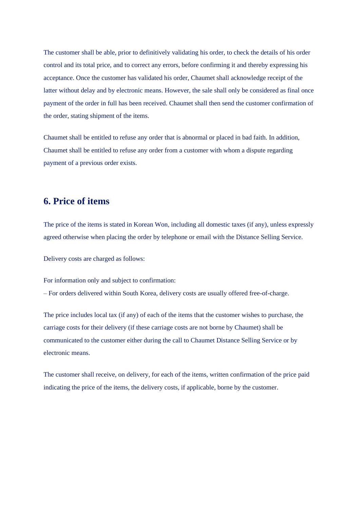The customer shall be able, prior to definitively validating his order, to check the details of his order control and its total price, and to correct any errors, before confirming it and thereby expressing his acceptance. Once the customer has validated his order, Chaumet shall acknowledge receipt of the latter without delay and by electronic means. However, the sale shall only be considered as final once payment of the order in full has been received. Chaumet shall then send the customer confirmation of the order, stating shipment of the items.

Chaumet shall be entitled to refuse any order that is abnormal or placed in bad faith. In addition, Chaumet shall be entitled to refuse any order from a customer with whom a dispute regarding payment of a previous order exists.

#### **6. Price of items**

The price of the items is stated in Korean Won, including all domestic taxes (if any), unless expressly agreed otherwise when placing the order by telephone or email with the Distance Selling Service.

Delivery costs are charged as follows:

For information only and subject to confirmation:

– For orders delivered within South Korea, delivery costs are usually offered free-of-charge.

The price includes local tax (if any) of each of the items that the customer wishes to purchase, the carriage costs for their delivery (if these carriage costs are not borne by Chaumet) shall be communicated to the customer either during the call to Chaumet Distance Selling Service or by electronic means.

The customer shall receive, on delivery, for each of the items, written confirmation of the price paid indicating the price of the items, the delivery costs, if applicable, borne by the customer.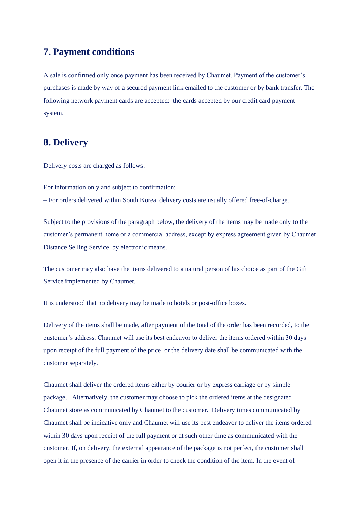# **7. Payment conditions**

A sale is confirmed only once payment has been received by Chaumet. Payment of the customer's purchases is made by way of a secured payment link emailed to the customer or by bank transfer. The following network payment cards are accepted: the cards accepted by our credit card payment system.

### **8. Delivery**

Delivery costs are charged as follows:

For information only and subject to confirmation:

– For orders delivered within South Korea, delivery costs are usually offered free-of-charge.

Subject to the provisions of the paragraph below, the delivery of the items may be made only to the customer's permanent home or a commercial address, except by express agreement given by Chaumet Distance Selling Service, by electronic means.

The customer may also have the items delivered to a natural person of his choice as part of the Gift Service implemented by Chaumet.

It is understood that no delivery may be made to hotels or post-office boxes.

Delivery of the items shall be made, after payment of the total of the order has been recorded, to the customer's address. Chaumet will use its best endeavor to deliver the items ordered within 30 days upon receipt of the full payment of the price, or the delivery date shall be communicated with the customer separately.

Chaumet shall deliver the ordered items either by courier or by express carriage or by simple package. Alternatively, the customer may choose to pick the ordered items at the designated Chaumet store as communicated by Chaumet to the customer. Delivery times communicated by Chaumet shall be indicative only and Chaumet will use its best endeavor to deliver the items ordered within 30 days upon receipt of the full payment or at such other time as communicated with the customer. If, on delivery, the external appearance of the package is not perfect, the customer shall open it in the presence of the carrier in order to check the condition of the item. In the event of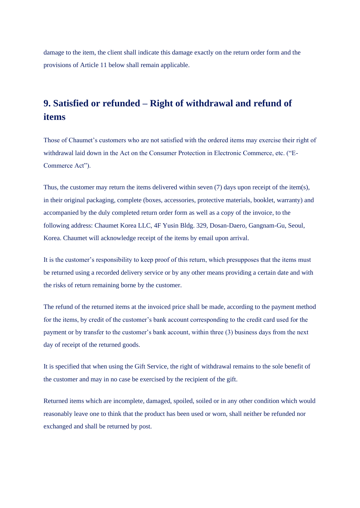damage to the item, the client shall indicate this damage exactly on the return order form and the provisions of Article 11 below shall remain applicable.

# **9. Satisfied or refunded – Right of withdrawal and refund of items**

Those of Chaumet's customers who are not satisfied with the ordered items may exercise their right of withdrawal laid down in the Act on the Consumer Protection in Electronic Commerce, etc. ("E-Commerce Act").

Thus, the customer may return the items delivered within seven (7) days upon receipt of the item(s), in their original packaging, complete (boxes, accessories, protective materials, booklet, warranty) and accompanied by the duly completed return order form as well as a copy of the invoice, to the following address: Chaumet Korea LLC, 4F Yusin Bldg. 329, Dosan-Daero, Gangnam-Gu, Seoul, Korea. Chaumet will acknowledge receipt of the items by email upon arrival.

It is the customer's responsibility to keep proof of this return, which presupposes that the items must be returned using a recorded delivery service or by any other means providing a certain date and with the risks of return remaining borne by the customer.

The refund of the returned items at the invoiced price shall be made, according to the payment method for the items, by credit of the customer's bank account corresponding to the credit card used for the payment or by transfer to the customer's bank account, within three (3) business days from the next day of receipt of the returned goods.

It is specified that when using the Gift Service, the right of withdrawal remains to the sole benefit of the customer and may in no case be exercised by the recipient of the gift.

Returned items which are incomplete, damaged, spoiled, soiled or in any other condition which would reasonably leave one to think that the product has been used or worn, shall neither be refunded nor exchanged and shall be returned by post.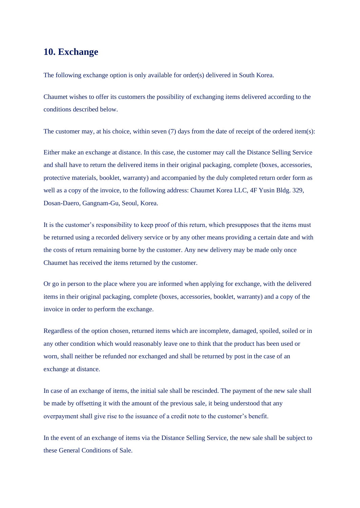### **10. Exchange**

The following exchange option is only available for order(s) delivered in South Korea.

Chaumet wishes to offer its customers the possibility of exchanging items delivered according to the conditions described below.

The customer may, at his choice, within seven (7) days from the date of receipt of the ordered item(s):

Either make an exchange at distance. In this case, the customer may call the Distance Selling Service and shall have to return the delivered items in their original packaging, complete (boxes, accessories, protective materials, booklet, warranty) and accompanied by the duly completed return order form as well as a copy of the invoice, to the following address: Chaumet Korea LLC, 4F Yusin Bldg. 329, Dosan-Daero, Gangnam-Gu, Seoul, Korea.

It is the customer's responsibility to keep proof of this return, which presupposes that the items must be returned using a recorded delivery service or by any other means providing a certain date and with the costs of return remaining borne by the customer. Any new delivery may be made only once Chaumet has received the items returned by the customer.

Or go in person to the place where you are informed when applying for exchange, with the delivered items in their original packaging, complete (boxes, accessories, booklet, warranty) and a copy of the invoice in order to perform the exchange.

Regardless of the option chosen, returned items which are incomplete, damaged, spoiled, soiled or in any other condition which would reasonably leave one to think that the product has been used or worn, shall neither be refunded nor exchanged and shall be returned by post in the case of an exchange at distance.

In case of an exchange of items, the initial sale shall be rescinded. The payment of the new sale shall be made by offsetting it with the amount of the previous sale, it being understood that any overpayment shall give rise to the issuance of a credit note to the customer's benefit.

In the event of an exchange of items via the Distance Selling Service, the new sale shall be subject to these General Conditions of Sale.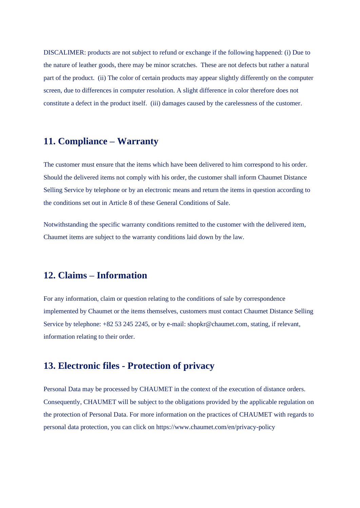DISCALIMER: products are not subject to refund or exchange if the following happened: (i) Due to the nature of leather goods, there may be minor scratches. These are not defects but rather a natural part of the product. (ii) The color of certain products may appear slightly differently on the computer screen, due to differences in computer resolution. A slight difference in color therefore does not constitute a defect in the product itself. (iii) damages caused by the carelessness of the customer.

### **11. Compliance – Warranty**

The customer must ensure that the items which have been delivered to him correspond to his order. Should the delivered items not comply with his order, the customer shall inform Chaumet Distance Selling Service by telephone or by an electronic means and return the items in question according to the conditions set out in Article 8 of these General Conditions of Sale.

Notwithstanding the specific warranty conditions remitted to the customer with the delivered item, Chaumet items are subject to the warranty conditions laid down by the law.

### **12. Claims – Information**

For any information, claim or question relating to the conditions of sale by correspondence implemented by Chaumet or the items themselves, customers must contact Chaumet Distance Selling Service by telephone: +82 53 245 2245, or by e-mail: shopkr@chaumet.com, stating, if relevant, information relating to their order.

#### **13. Electronic files - Protection of privacy**

Personal Data may be processed by CHAUMET in the context of the execution of distance orders. Consequently, CHAUMET will be subject to the obligations provided by the applicable regulation on the protection of Personal Data. For more information on the practices of CHAUMET with regards to personal data protection, you can click on <https://www.chaumet.com/en/privacy-policy>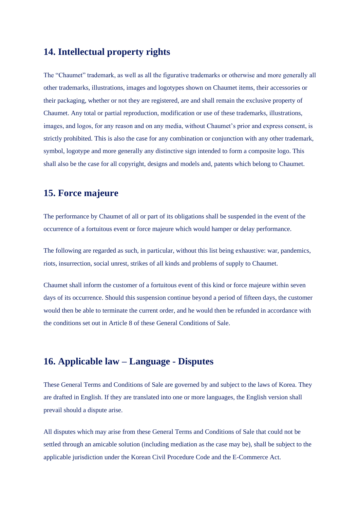### **14. Intellectual property rights**

The "Chaumet" trademark, as well as all the figurative trademarks or otherwise and more generally all other trademarks, illustrations, images and logotypes shown on Chaumet items, their accessories or their packaging, whether or not they are registered, are and shall remain the exclusive property of Chaumet. Any total or partial reproduction, modification or use of these trademarks, illustrations, images, and logos, for any reason and on any media, without Chaumet's prior and express consent, is strictly prohibited. This is also the case for any combination or conjunction with any other trademark, symbol, logotype and more generally any distinctive sign intended to form a composite logo. This shall also be the case for all copyright, designs and models and, patents which belong to Chaumet.

### **15. Force majeure**

The performance by Chaumet of all or part of its obligations shall be suspended in the event of the occurrence of a fortuitous event or force majeure which would hamper or delay performance.

The following are regarded as such, in particular, without this list being exhaustive: war, pandemics, riots, insurrection, social unrest, strikes of all kinds and problems of supply to Chaumet.

Chaumet shall inform the customer of a fortuitous event of this kind or force majeure within seven days of its occurrence. Should this suspension continue beyond a period of fifteen days, the customer would then be able to terminate the current order, and he would then be refunded in accordance with the conditions set out in Article 8 of these General Conditions of Sale.

### **16. Applicable law – Language - Disputes**

These General Terms and Conditions of Sale are governed by and subject to the laws of Korea. They are drafted in English. If they are translated into one or more languages, the English version shall prevail should a dispute arise.

All disputes which may arise from these General Terms and Conditions of Sale that could not be settled through an amicable solution (including mediation as the case may be), shall be subject to the applicable jurisdiction under the Korean Civil Procedure Code and the E-Commerce Act.